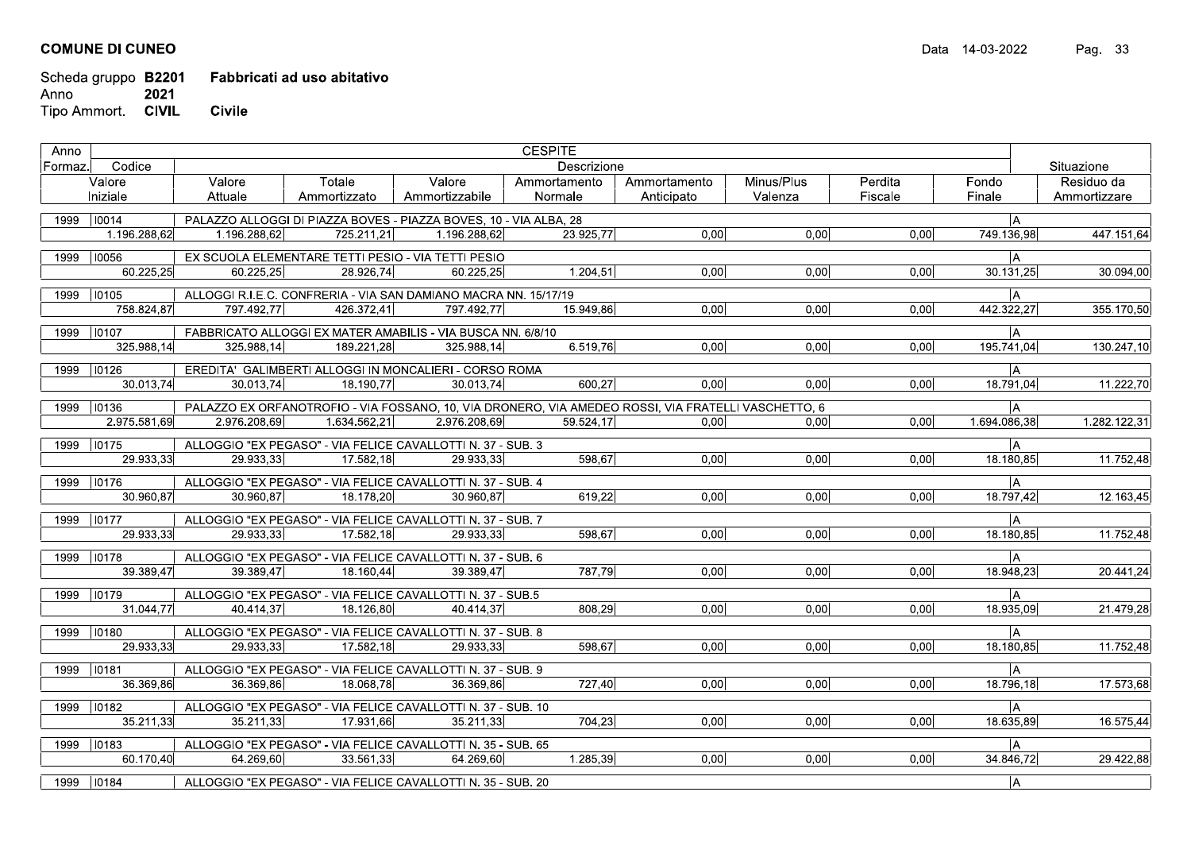## **COMUNE DI CUNEO**

## Scheda gruppo B2201 Fabbricati ad uso abitativo Anno 2021 Tipo Ammort. CIVIL **Civile**

| Anno    |                           | <b>CESPITE</b> |              |                                                                   |              |                                                                                                     |            |         |                 |              |
|---------|---------------------------|----------------|--------------|-------------------------------------------------------------------|--------------|-----------------------------------------------------------------------------------------------------|------------|---------|-----------------|--------------|
| Formaz. | Codice                    | Descrizione    |              |                                                                   |              |                                                                                                     |            |         |                 | Situazione   |
|         | Valore                    | Valore         | Totale       | Valore                                                            | Ammortamento | Ammortamento                                                                                        | Minus/Plus | Perdita | Fondo           | Residuo da   |
|         | Iniziale                  | Attuale        | Ammortizzato | Ammortizzabile                                                    | Normale      | Anticipato                                                                                          | Valenza    | Fiscale | Finale          | Ammortizzare |
|         | 1999 10014                |                |              | PALAZZO ALLOGGI DI PIAZZA BOVES - PIAZZA BOVES, 10 - VIA ALBA, 28 |              |                                                                                                     |            |         | IА.             |              |
|         | 1.196.288,62              | 1.196.288,62   | 725.211.21   | 1.196.288.62                                                      | 23.925,77    | 0,00                                                                                                | 0,00       | 0,00    | 749.136,98      | 447.151,64   |
|         |                           |                |              |                                                                   |              |                                                                                                     |            |         |                 |              |
| 1999    | 10056<br>60.225,25        | 60.225.25      | 28.926.74    | EX SCUOLA ELEMENTARE TETTI PESIO - VIA TETTI PESIO                |              | 0.00                                                                                                | 0.00       | 0.00    | l A             |              |
|         |                           |                |              | 60.225.25                                                         | 1.204,51     |                                                                                                     |            |         | 30.131,25       | 30.094,00    |
| 1999    | 10105                     |                |              | ALLOGGI R.I.E.C. CONFRERIA - VIA SAN DAMIANO MACRA NN. 15/17/19   |              |                                                                                                     |            |         | lА              |              |
|         | 758.824,87                | 797.492,77     | 426.372,41   | 797.492,77                                                        | 15.949,86    | 0,00                                                                                                | 0,00       | 0,00    | 442.322,27      | 355.170,50   |
| 1999    | 10107                     |                |              | FABBRICATO ALLOGGI EX MATER AMABILIS - VIA BUSCA NN. 6/8/10       |              |                                                                                                     |            |         | lА              |              |
|         | 325.988,14                | 325.988,14     | 189.221,28   | 325.988.14                                                        | 6.519,76     | 0,00                                                                                                | 0,00       | 0,00    | 195.741,04      | 130.247,10   |
|         |                           |                |              |                                                                   |              |                                                                                                     |            |         |                 |              |
|         | 1999   10126<br>30.013,74 |                | 18.190,77    | EREDITA' GALIMBERTI ALLOGGI IN MONCALIERI - CORSO ROMA            | 600,27       | 0,00                                                                                                |            |         | IА<br>18.791,04 | 11.222,70    |
|         |                           | 30.013,74      |              | 30.013,74                                                         |              |                                                                                                     | 0.00       | 0.00    |                 |              |
| 1999    | 10136                     |                |              |                                                                   |              | PALAZZO EX ORFANOTROFIO - VIA FOSSANO, 10, VIA DRONERO, VIA AMEDEO ROSSI, VIA FRATELLI VASCHETTO, 6 |            |         | l A             |              |
|         | 2.975.581.69              | 2.976.208,69   | 1.634.562,21 | 2.976.208,69                                                      | 59.524,17    | 0.00                                                                                                | 0.00       | 0,00    | 1.694.086,38    | 1.282.122,31 |
| 1999    | 10175                     |                |              | ALLOGGIO "EX PEGASO" - VIA FELICE CAVALLOTTI N. 37 - SUB. 3       |              |                                                                                                     |            |         | lА.             |              |
|         | 29.933.33                 | 29.933,33      | 17.582.18    | 29.933.33                                                         | 598,67       | 0,00                                                                                                | 0,00       | 0,00    | 18.180,85       | 11.752,48    |
|         |                           |                |              |                                                                   |              |                                                                                                     |            |         |                 |              |
| 1999    | 10176                     |                |              | ALLOGGIO "EX PEGASO" - VIA FELICE CAVALLOTTI N. 37 - SUB. 4       |              |                                                                                                     |            |         | l A             |              |
|         | 30.960.87                 | 30.960,87      | 18.178.20    | 30.960.87                                                         | 619,22       | 0,00                                                                                                | 0.00       | 0.00    | 18.797,42       | 12.163,45    |
| 1999    | $\sqrt{10177}$            |                |              | ALLOGGIO "EX PEGASO" - VIA FELICE CAVALLOTTI N. 37 - SUB. 7       |              |                                                                                                     |            |         | l A             |              |
|         | 29.933,33                 | 29.933,33      | 17.582,18    | 29.933,33                                                         | 598,67       | 0,00                                                                                                | 0,00       | 0,00    | 18.180,85       | 11.752,48    |
| 1999    | 10178                     |                |              | ALLOGGIO "EX PEGASO" - VIA FELICE CAVALLOTTI N. 37 - SUB. 6       |              |                                                                                                     |            |         | lА              |              |
|         | 39.389,47                 | 39.389,47      | 18.160,44    | 39.389,47                                                         | 787,79       | 0,00                                                                                                | 0,00       | 0,00    | 18.948,23       | 20.441,24    |
|         |                           |                |              |                                                                   |              |                                                                                                     |            |         |                 |              |
| 1999    | 10179                     |                |              | ALLOGGIO "EX PEGASO" - VIA FELICE CAVALLOTTI N. 37 - SUB.5        |              |                                                                                                     |            |         | IА.             |              |
|         | 31.044,77                 | 40.414,37      | 18.126,80    | 40.414,37                                                         | 808,29       | 0,00                                                                                                | 0,00       | 0.00    | 18.935,09       | 21.479,28    |
| 1999    | $ 10180\rangle$           |                |              | ALLOGGIO "EX PEGASO" - VIA FELICE CAVALLOTTI N. 37 - SUB. 8       |              |                                                                                                     |            |         | IА              |              |
|         | 29.933,33                 | 29.933,33      | 17.582,18    | 29.933.33                                                         | 598,67       | 0,00                                                                                                | 0.00       | 0,00    | 18.180,85       | 11.752,48    |
| 1999    | 10181                     |                |              | ALLOGGIO "EX PEGASO" - VIA FELICE CAVALLOTTI N. 37 - SUB. 9       |              |                                                                                                     |            |         | l A             |              |
|         | 36.369.86                 | 36.369.86      | 18.068.78    | 36.369.86                                                         | 727.40       | 0.00                                                                                                | 0.00       | 0.00    | 18.796,18       | 17.573,68    |
|         |                           |                |              |                                                                   |              |                                                                                                     |            |         |                 |              |
| 1999    | $ 10182\rangle$           |                |              | ALLOGGIO "EX PEGASO" - VIA FELICE CAVALLOTTI N. 37 - SUB. 10      |              |                                                                                                     |            |         | A               |              |
|         | 35.211,33                 | 35.211.33      | 17.931.66    | 35.211,33                                                         | 704,23       | 0,00                                                                                                | 0.00       | 0.00    | 18.635.89       | 16.575,44    |
| 1999    | $ 10183\rangle$           |                |              | ALLOGGIO "EX PEGASO" - VIA FELICE CAVALLOTTI N. 35 - SUB. 65      |              |                                                                                                     |            |         | lА              |              |
|         | 60.170,40                 | 64.269.60      | 33.561,33    | 64.269.60                                                         | 1.285.39     | 0,00                                                                                                | 0,00       | 0,00    | 34.846,72       | 29.422,88    |
|         |                           |                |              | ALLOGGIO "EX PEGASO" - VIA FELICE CAVALLOTTI N. 35 - SUB. 20      |              |                                                                                                     |            |         |                 |              |
| 1999    | 10184                     |                |              |                                                                   |              |                                                                                                     |            |         | A               |              |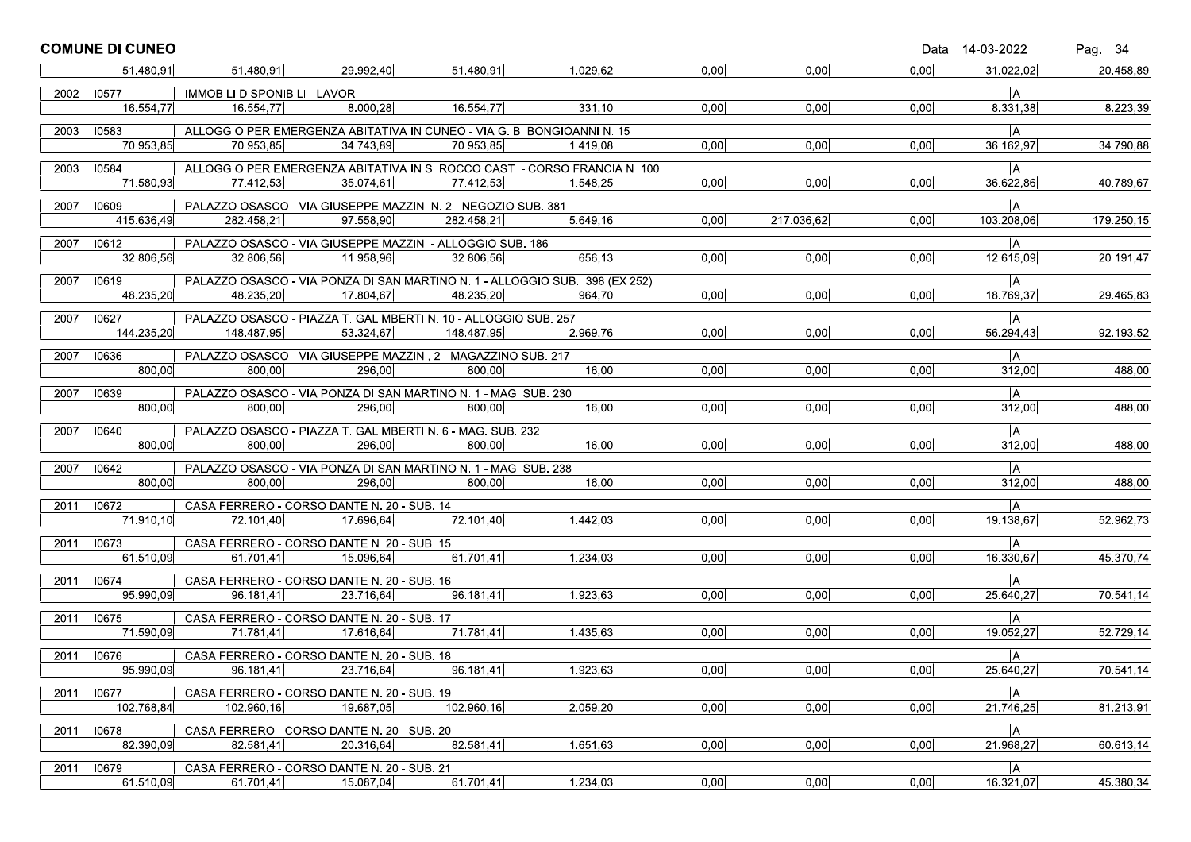|      | <b>COMUNE DI CUNEO</b>    |                               |                                                                              |            |                                                                                       |      |            |      | Data 14-03-2022 | Pag. 34    |
|------|---------------------------|-------------------------------|------------------------------------------------------------------------------|------------|---------------------------------------------------------------------------------------|------|------------|------|-----------------|------------|
|      | 51.480.91                 | 51.480,91                     | 29.992,40                                                                    | 51.480.91  | 1.029,62                                                                              | 0,00 | 0,00       | 0.00 | 31.022,02       | 20.458,89  |
|      | 2002 10577                | IMMOBILI DISPONIBILI - LAVORI |                                                                              |            |                                                                                       |      |            |      | IA.             |            |
|      | 16.554,77                 | 16.554,77                     | 8.000,28                                                                     | 16.554,77  | 331,10                                                                                | 0,00 | 0,00       | 0,00 | 8.331,38        | 8.223,39   |
| 2003 | 10583                     |                               | ALLOGGIO PER EMERGENZA ABITATIVA IN CUNEO - VIA G. B. BONGIOANNI N. 15       |            |                                                                                       |      |            |      | A               |            |
|      | 70.953,85                 | 70.953,85                     | 34.743,89                                                                    | 70.953,85  | 1.419,08                                                                              | 0,00 | 0,00       | 0,00 | 36.162,97       | 34.790,88  |
|      |                           |                               |                                                                              |            |                                                                                       |      |            |      |                 |            |
|      | 2003 10584<br>71.580,93   | 77.412,53                     | 35.074,61                                                                    | 77.412,53  | ALLOGGIO PER EMERGENZA ABITATIVA IN S. ROCCO CAST. - CORSO FRANCIA N. 100<br>1.548,25 | 0,00 | 0,00       | 0,00 | lА<br>36.622,86 | 40.789,67  |
|      |                           |                               |                                                                              |            |                                                                                       |      |            |      |                 |            |
|      | 2007   10609              |                               | PALAZZO OSASCO - VIA GIUSEPPE MAZZINI N. 2 - NEGOZIO SUB. 381                |            |                                                                                       |      |            |      | IА.             |            |
|      | 415.636,49                | 282.458,21                    | 97.558,90                                                                    | 282.458,21 | 5.649,16                                                                              | 0,00 | 217.036,62 | 0,00 | 103.208,06      | 179.250,15 |
| 2007 | $ 10612\rangle$           |                               | PALAZZO OSASCO - VIA GIUSEPPE MAZZINI - ALLOGGIO SUB. 186                    |            |                                                                                       |      |            |      | A               |            |
|      | 32.806,56                 | 32.806,56                     | 11.958,96                                                                    | 32.806.56  | 656,13                                                                                | 0.00 | 0,00       | 0,00 | 12.615,09       | 20.191,47  |
|      | 2007   10619              |                               |                                                                              |            | PALAZZO OSASCO - VIA PONZA DI SAN MARTINO N. 1 - ALLOGGIO SUB. 398 (EX 252)           |      |            |      | A               |            |
|      | 48.235,20                 | 48.235,20                     | 17.804,67                                                                    | 48.235.20  | 964.70                                                                                | 0,00 | 0,00       | 0,00 | 18.769,37       | 29.465,83  |
|      |                           |                               |                                                                              |            |                                                                                       |      |            |      |                 |            |
| 2007 | 10627<br>144.235.20       | 148.487,95                    | PALAZZO OSASCO - PIAZZA T. GALIMBERTI N. 10 - ALLOGGIO SUB. 257<br>53.324,67 | 148.487,95 | 2.969,76                                                                              | 0,00 | 0,00       | 0,00 | A<br>56.294,43  | 92.193,52  |
|      |                           |                               |                                                                              |            |                                                                                       |      |            |      |                 |            |
|      | 2007 10636                |                               | PALAZZO OSASCO - VIA GIUSEPPE MAZZINI, 2 - MAGAZZINO SUB. 217                |            |                                                                                       |      |            |      | A               |            |
|      | 800,00                    | 800,00                        | 296.00                                                                       | 800,00     | 16,00                                                                                 | 0,00 | 0,00       | 0,00 | 312,00          | 488,00     |
| 2007 | 10639                     |                               | PALAZZO OSASCO - VIA PONZA DI SAN MARTINO N. 1 - MAG. SUB. 230               |            |                                                                                       |      |            |      | ∣A              |            |
|      | 800.00                    | 800.00                        | 296,00                                                                       | 800.00     | 16.00                                                                                 | 0.00 | 0,00       | 0,00 | 312,00          | 488,00     |
|      | 2007   10640              |                               | PALAZZO OSASCO - PIAZZA T. GALIMBERTI N. 6 - MAG. SUB. 232                   |            |                                                                                       |      |            |      | A               |            |
|      | 800.00                    | 800,00                        | 296,00                                                                       | 800,00     | 16,00                                                                                 | 0,00 | 0,00       | 0,00 | 312,00          | 488,00     |
|      | 2007   10642              |                               | PALAZZO OSASCO - VIA PONZA DI SAN MARTINO N. 1 - MAG. SUB. 238               |            |                                                                                       |      |            |      | A               |            |
|      | 800,00                    | 800,00                        | 296,00                                                                       | 800,00     | 16,00                                                                                 | 0,00 | 0,00       | 0,00 | 312,00          | 488.00     |
|      |                           |                               |                                                                              |            |                                                                                       |      |            |      |                 |            |
| 2011 | $ 10672\rangle$           |                               | CASA FERRERO - CORSO DANTE N. 20 - SUB. 14                                   |            |                                                                                       |      |            |      | IА.             |            |
|      | 71.910,10                 | 72.101,40                     | 17.696,64                                                                    | 72.101.40  | 1.442,03                                                                              | 0,00 | 0,00       | 0,00 | 19.138,67       | 52.962,73  |
|      | 2011 10673                |                               | CASA FERRERO - CORSO DANTE N. 20 - SUB. 15                                   |            |                                                                                       |      |            |      | A               |            |
|      | 61.510,09                 | 61.701,41                     | 15.096,64                                                                    | 61.701,41  | 1.234,03                                                                              | 0,00 | 0,00       | 0,00 | 16.330,67       | 45.370,74  |
| 2011 | 10674                     |                               | CASA FERRERO - CORSO DANTE N. 20 - SUB. 16                                   |            |                                                                                       |      |            |      | IA.             |            |
|      | 95.990.09                 | 96.181,41                     | 23.716,64                                                                    | 96.181.41  | 1.923,63                                                                              | 0.00 | 0,00       | 0,00 | 25.640,27       | 70.541,14  |
|      | 2011   10675              |                               | CASA FERRERO - CORSO DANTE N. 20 - SUB. 17                                   |            |                                                                                       |      |            |      | IА              |            |
|      | 71.590.09                 | 71.781,41                     | 17.616,64                                                                    | 71.781,41  | 1.435,63                                                                              | 0,00 | 0,00       | 0,00 | 19.052,27       | 52.729,14  |
|      |                           |                               |                                                                              |            |                                                                                       |      |            |      |                 |            |
|      | 2011   10676<br>95.990,09 | 96.181,41                     | CASA FERRERO - CORSO DANTE N. 20 - SUB. 18<br>23.716,64                      | 96.181,41  | 1.923,63                                                                              | 0.00 | 0,00       | 0,00 | A<br>25.640,27  | 70.541,14  |
|      |                           |                               |                                                                              |            |                                                                                       |      |            |      |                 |            |
| 2011 | 10677                     |                               | CASA FERRERO - CORSO DANTE N. 20 - SUB. 19                                   |            |                                                                                       |      |            |      | IA.             |            |
|      | 102.768,84                | 102.960,16                    | 19.687,05                                                                    | 102.960,16 | 2.059,20                                                                              | 0,00 | 0,00       | 0,00 | 21.746,25       | 81.213,91  |
|      | 2011   10678              |                               | CASA FERRERO - CORSO DANTE N. 20 - SUB. 20                                   |            |                                                                                       |      |            |      | A               |            |
|      | 82.390,09                 | 82.581,41                     | 20.316,64                                                                    | 82.581,41  | 1.651,63                                                                              | 0,00 | 0,00       | 0,00 | 21.968,27       | 60.613, 14 |
| 2011 | $ 10679\rangle$           |                               | CASA FERRERO - CORSO DANTE N. 20 - SUB. 21                                   |            |                                                                                       |      |            |      | A               |            |
|      | 61.510,09                 | 61.701,41                     | 15.087,04                                                                    | 61.701,41  | 1.234,03                                                                              | 0,00 | 0,00       | 0,00 | 16.321,07       | 45.380,34  |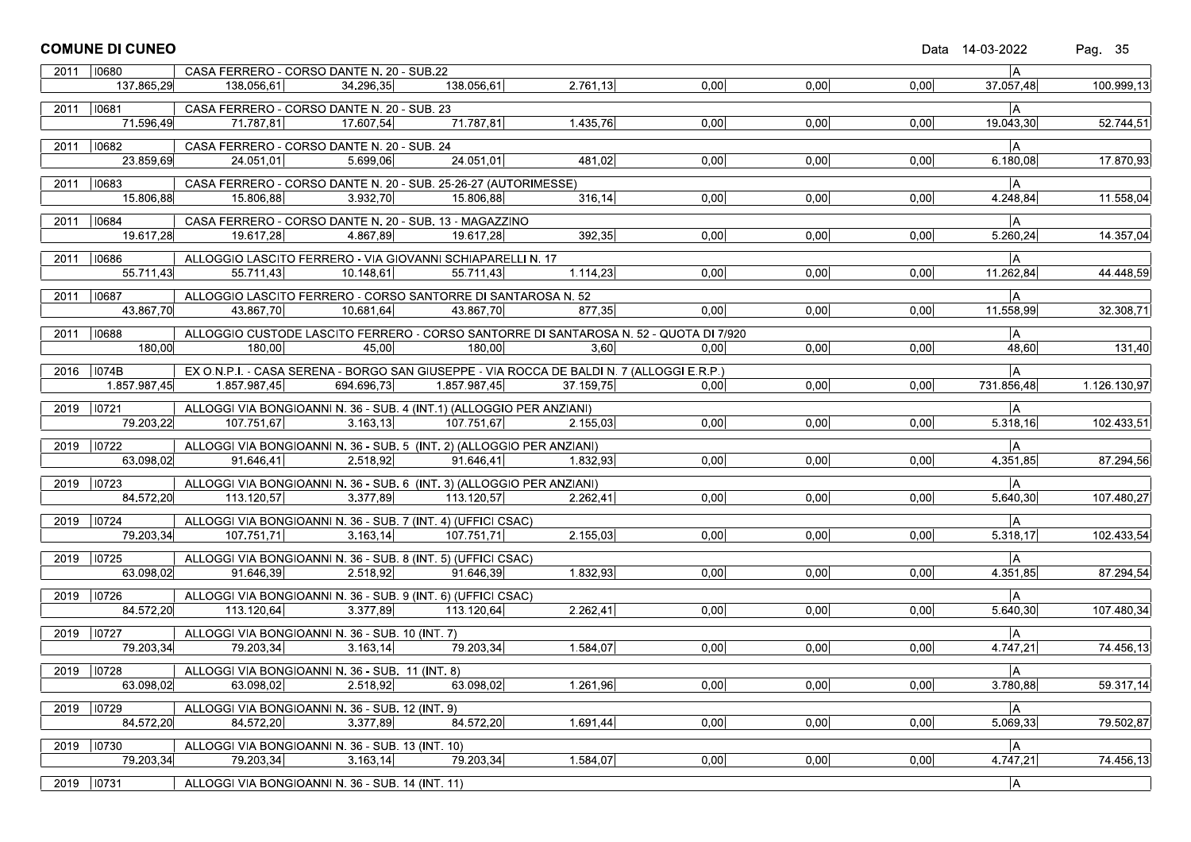|      | <b>COMUNE DI CUNEO</b>    |                        |                                                                                           |              |           |      |      |      | Data 14-03-2022 | Pag. 35                |
|------|---------------------------|------------------------|-------------------------------------------------------------------------------------------|--------------|-----------|------|------|------|-----------------|------------------------|
|      | 2011 10680                |                        | CASA FERRERO - CORSO DANTE N. 20 - SUB.22                                                 |              |           |      |      |      | ΙA.             |                        |
|      | 137.865.29                | 138.056.61             | 34.296,35                                                                                 | 138.056,61   | 2.761,13  | 0.00 | 0.00 | 0,00 | 37.057,48       | 100.999,13             |
|      | 2011   10681              |                        | CASA FERRERO - CORSO DANTE N. 20 - SUB. 23                                                |              |           |      |      |      | l A             |                        |
|      | 71.596,49                 | 71.787,81              | 17.607,54                                                                                 | 71.787.81    | 1.435,76  | 0.00 | 0.00 | 0.00 | 19.043,30       | $\overline{52.7}44,51$ |
|      | 2011   10682              |                        | CASA FERRERO - CORSO DANTE N. 20 - SUB. 24                                                |              |           |      |      |      | IA.             |                        |
|      | 23.859,69                 | 24.051,01              | 5.699,06                                                                                  | 24.051.01    | 481,02    | 0,00 | 0.00 | 0,00 | 6.180,08        | 17.870,93              |
| 2011 | $ 10683\rangle$           |                        | CASA FERRERO - CORSO DANTE N. 20 - SUB. 25-26-27 (AUTORIMESSE)                            |              |           |      |      |      | IА              |                        |
|      | 15.806,88                 | 15.806,88              | 3.932,70                                                                                  | 15.806.88    | 316, 14   | 0,00 | 0,00 | 0,00 | 4.248,84        | 11.558,04              |
|      | 2011   10684              |                        | CASA FERRERO - CORSO DANTE N. 20 - SUB. 13 - MAGAZZINO                                    |              |           |      |      |      | IА.             |                        |
|      | 19.617,28                 | 19.617,28              | 4.867,89                                                                                  | 19.617,28    | 392,35    | 0.00 | 0,00 | 0,00 | 5.260,24        | 14.357,04              |
| 2011 | 10686                     |                        | ALLOGGIO LASCITO FERRERO - VIA GIOVANNI SCHIAPARELLI N. 17                                |              |           |      |      |      | lА              |                        |
|      | 55.711,43                 | 55.711,43              | 10.148,61                                                                                 | 55.711.43    | 1.114,23  | 0,00 | 0,00 | 0,00 | 11.262,84       | 44.448,59              |
|      | 2011   10687              |                        | ALLOGGIO LASCITO FERRERO - CORSO SANTORRE DI SANTAROSA N. 52                              |              |           |      |      |      | lА              |                        |
|      | 43.867,70                 | 43.867,70              | 10.681,64                                                                                 | 43.867,70    | 877,35    | 0.00 | 0.00 | 0.00 | 11.558,99       | 32.308,71              |
|      | 2011   10688              |                        | ALLOGGIO CUSTODE LASCITO FERRERO - CORSO SANTORRE DI SANTAROSA N. 52 - QUOTA DI 7/920     |              |           |      |      |      | ΙA.             |                        |
|      | 180,00                    | 180,00                 | 45,00                                                                                     | 180,00       | 3,60      | 0,00 | 0.00 | 0,00 | 48,60           | 131,40                 |
|      | 2016   1074B              |                        | EX O.N.P.I. - CASA SERENA - BORGO SAN GIUSEPPE - VIA ROCCA DE BALDI N. 7 (ALLOGGI E.R.P.) |              |           |      |      |      | lА              |                        |
|      | 1.857.987,45              | 1.857.987,45           | 694.696,73                                                                                | 1.857.987.45 | 37.159,75 | 0,00 | 0,00 | 0,00 | 731.856,48      | 1.126.130,97           |
|      | 2019   10721              |                        | ALLOGGI VIA BONGIOANNI N. 36 - SUB. 4 (INT.1) (ALLOGGIO PER ANZIANI)                      |              |           |      |      |      | ÌА.             |                        |
|      | 79.203,22                 | 107.751.67             | 3.163.13                                                                                  | 107.751.67   | 2.155,03  | 0.00 | 0.00 | 0,00 | 5.318,16        | 102.433,51             |
| 2019 | 10722                     |                        | ALLOGGI VIA BONGIOANNI N. 36 - SUB. 5 (INT. 2) (ALLOGGIO PER ANZIANI)                     |              |           |      |      |      | lА              |                        |
|      | 63.098,02                 | $\overline{91.646,41}$ | 2.518,92                                                                                  | 91.646.41    | 1.832,93  | 0,00 | 0,00 | 0.00 | 4.351,85        | 87.294,56              |
|      |                           |                        |                                                                                           |              |           |      |      |      |                 |                        |
|      | 2019 10723<br>84.572,20   | 113.120,57             | ALLOGGI VIA BONGIOANNI N. 36 - SUB. 6 (INT. 3) (ALLOGGIO PER ANZIANI)<br>3.377,89         | 113.120,57   | 2.262,41  | 0,00 | 0,00 | 0,00 | IА<br>5.640,30  | 107.480,27             |
|      |                           |                        |                                                                                           |              |           |      |      |      |                 |                        |
|      | 2019   10724<br>79.203,34 | 107.751.71             | ALLOGGI VIA BONGIOANNI N. 36 - SUB. 7 (INT. 4) (UFFICI CSAC)<br>3.163, 14                 | 107.751.71   | 2.155,03  | 0.00 | 0.00 | 0,00 | IА<br>5.318,17  | 102.433,54             |
|      |                           |                        |                                                                                           |              |           |      |      |      |                 |                        |
|      | 2019 10725<br>63.098,02   | 91.646,39              | ALLOGGI VIA BONGIOANNI N. 36 - SUB. 8 (INT. 5) (UFFICI CSAC)<br>2.518.92                  | 91.646.39    | 1.832,93  | 0,00 | 0.00 | 0,00 | lА.<br>4.351,85 | 87.294,54              |
|      |                           |                        |                                                                                           |              |           |      |      |      |                 |                        |
|      | 2019   10726              |                        | ALLOGGI VIA BONGIOANNI N. 36 - SUB. 9 (INT. 6) (UFFICI CSAC)                              |              |           |      |      |      | IА              |                        |
|      | 84.572,20                 | 113.120,64             | 3.377,89                                                                                  | 113.120,64   | 2.262,41  | 0,00 | 0,00 | 0,00 | 5.640,30        | 107.480,34             |
| 2019 | 10727                     |                        | ALLOGGI VIA BONGIOANNI N. 36 - SUB. 10 (INT. 7)                                           |              |           |      |      |      | IА.             |                        |
|      | 79.203,34                 | 79.203,34              | 3.163, 14                                                                                 | 79.203,34    | 1.584,07  | 0.00 | 0,00 | 0.00 | 4.747,21        | 74.456,13              |
|      | 2019 10728                |                        | ALLOGGI VIA BONGIOANNI N. 36 - SUB. 11 (INT. 8)                                           |              |           |      |      |      | A               |                        |
|      | 63.098,02                 | 63.098,02              | 2.518,92                                                                                  | 63.098,02    | 1.261,96  | 0,00 | 0,00 | 0,00 | 3.780,88        | 59.317,14              |
| 2019 | 10729                     |                        | ALLOGGI VIA BONGIOANNI N. 36 - SUB. 12 (INT. 9)                                           |              |           |      |      |      | A               |                        |
|      | 84.572,20                 | 84.572,20              | 3.377,89                                                                                  | 84.572,20    | 1.691,44  | 0,00 | 0,00 | 0,00 | 5.069,33        | 79.502,87              |
|      | 2019   10730              |                        | ALLOGGI VIA BONGIOANNI N. 36 - SUB. 13 (INT. 10)                                          |              |           |      |      |      | A               |                        |
|      | 79.203,34                 | 79.203,34              | 3.163, 14                                                                                 | 79.203,34    | 1.584,07  | 0,00 | 0,00 | 0,00 | 4.747,21        | 74.456,13              |
|      | 2019   10731              |                        | ALLOGGI VIA BONGIOANNI N. 36 - SUB. 14 (INT. 11)                                          |              |           |      |      |      | A               |                        |